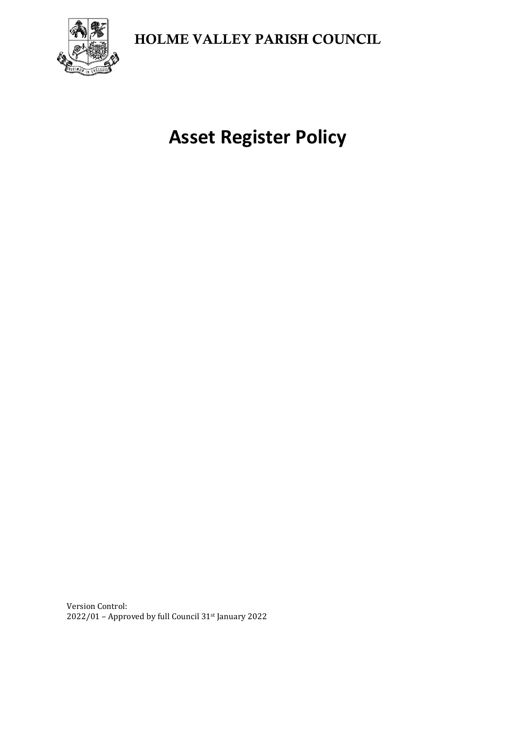HOLME VALLEY PARISH COUNCIL



**Asset Register Policy**

Version Control: 2022/01 – Approved by full Council 31st January 2022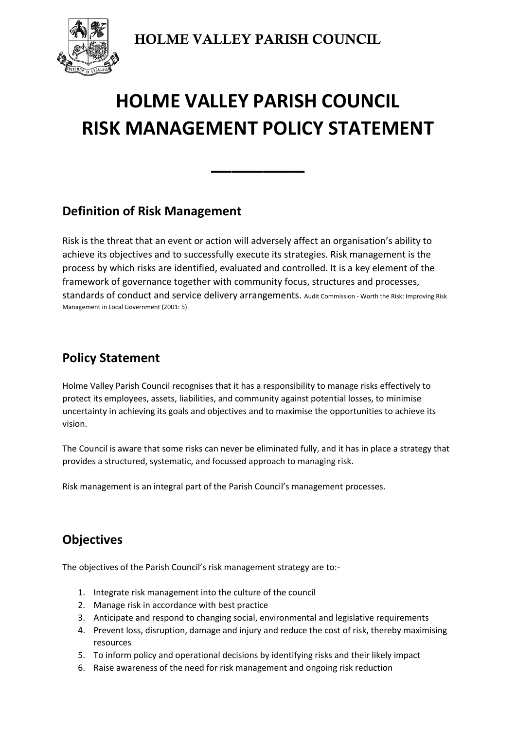HOLME VALLEY PARISH COUNCIL

# **HOLME VALLEY PARISH COUNCIL RISK MANAGEMENT POLICY STATEMENT**

**\_\_\_\_\_\_\_\_\_**

### **Definition of Risk Management**

Risk is the threat that an event or action will adversely affect an organisation's ability to achieve its objectives and to successfully execute its strategies. Risk management is the process by which risks are identified, evaluated and controlled. It is a key element of the framework of governance together with community focus, structures and processes, standards of conduct and service delivery arrangements. Audit Commission - Worth the Risk: Improving Risk Management in Local Government (2001: 5)

## **Policy Statement**

Holme Valley Parish Council recognises that it has a responsibility to manage risks effectively to protect its employees, assets, liabilities, and community against potential losses, to minimise uncertainty in achieving its goals and objectives and to maximise the opportunities to achieve its vision.

The Council is aware that some risks can never be eliminated fully, and it has in place a strategy that provides a structured, systematic, and focussed approach to managing risk.

Risk management is an integral part of the Parish Council's management processes.

# **Objectives**

The objectives of the Parish Council's risk management strategy are to:-

- 1. Integrate risk management into the culture of the council
- 2. Manage risk in accordance with best practice
- 3. Anticipate and respond to changing social, environmental and legislative requirements
- 4. Prevent loss, disruption, damage and injury and reduce the cost of risk, thereby maximising resources
- 5. To inform policy and operational decisions by identifying risks and their likely impact
- 6. Raise awareness of the need for risk management and ongoing risk reduction